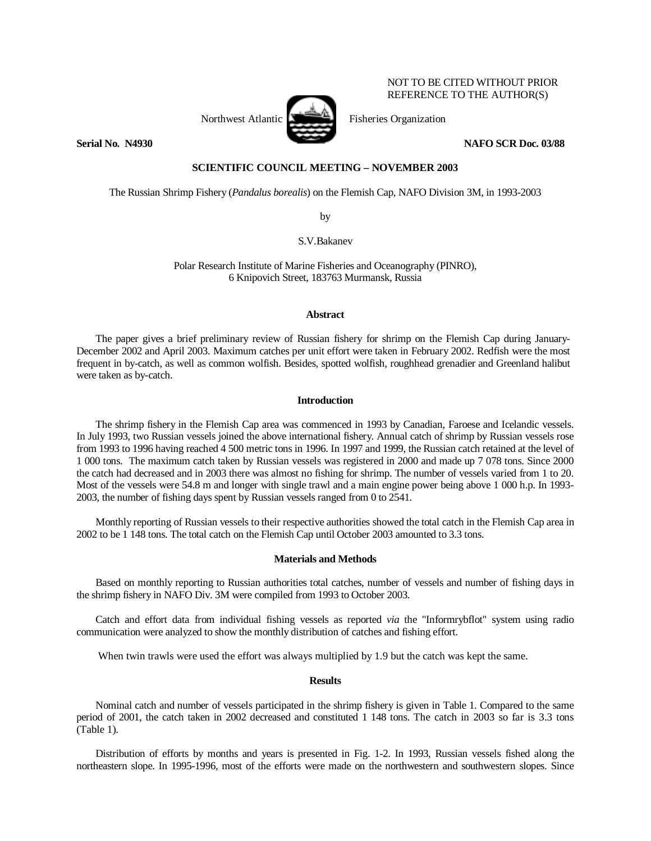

NOT TO BE CITED WITHOUT PRIOR REFERENCE TO THE AUTHOR(S)

**Serial No. N4930 NAFO SCR Doc. 03/88** 

# **SCIENTIFIC COUNCIL MEETING – NOVEMBER 2003**

The Russian Shrimp Fishery (*Pandalus borealis*) on the Flemish Cap, NAFO Division 3M, in 1993-2003

by

S.V.Bakanev

Polar Research Institute of Marine Fisheries and Oceanography (PINRO), 6 Knipovich Street, 183763 Murmansk, Russia

#### **Abstract**

The paper gives a brief preliminary review of Russian fishery for shrimp on the Flemish Cap during January-December 2002 and April 2003. Maximum catches per unit effort were taken in February 2002. Redfish were the most frequent in by-catch, as well as common wolfish. Besides, spotted wolfish, roughhead grenadier and Greenland halibut were taken as by-catch.

### **Introduction**

 The shrimp fishery in the Flemish Cap area was commenced in 1993 by Canadian, Faroese and Icelandic vessels. In July 1993, two Russian vessels joined the above international fishery. Annual catch of shrimp by Russian vessels rose from 1993 to 1996 having reached 4 500 metric tons in 1996. In 1997 and 1999, the Russian catch retained at the level of 1 000 tons. The maximum catch taken by Russian vessels was registered in 2000 and made up 7 078 tons. Since 2000 the catch had decreased and in 2003 there was almost no fishing for shrimp. The number of vessels varied from 1 to 20. Most of the vessels were 54.8 m and longer with single trawl and a main engine power being above 1 000 h.p. In 1993- 2003, the number of fishing days spent by Russian vessels ranged from 0 to 2541.

Monthly reporting of Russian vessels to their respective authorities showed the total catch in the Flemish Cap area in 2002 to be 1 148 tons. The total catch on the Flemish Cap until October 2003 amounted to 3.3 tons.

#### **Materials and Methods**

Based on monthly reporting to Russian authorities total catches, number of vessels and number of fishing days in the shrimp fishery in NAFO Div. 3M were compiled from 1993 to October 2003.

 Catch and effort data from individual fishing vessels as reported *via* the "Informrybflot" system using radio communication were analyzed to show the monthly distribution of catches and fishing effort.

When twin trawls were used the effort was always multiplied by 1.9 but the catch was kept the same.

# **Results**

Nominal catch and number of vessels participated in the shrimp fishery is given in Table 1. Compared to the same period of 2001, the catch taken in 2002 decreased and constituted 1 148 tons. The catch in 2003 so far is 3.3 tons (Table 1).

 Distribution of efforts by months and years is presented in Fig. 1-2. In 1993, Russian vessels fished along the northeastern slope. In 1995-1996, most of the efforts were made on the northwestern and southwestern slopes. Since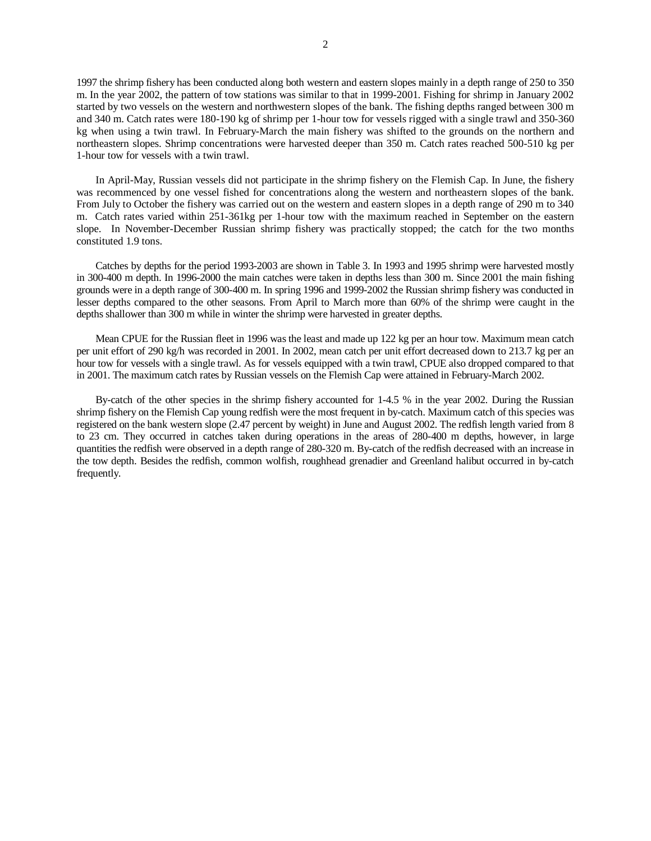1997 the shrimp fishery has been conducted along both western and eastern slopes mainly in a depth range of 250 to 350 m. In the year 2002, the pattern of tow stations was similar to that in 1999-2001. Fishing for shrimp in January 2002 started by two vessels on the western and northwestern slopes of the bank. The fishing depths ranged between 300 m and 340 m. Catch rates were 180-190 kg of shrimp per 1-hour tow for vessels rigged with a single trawl and 350-360 kg when using a twin trawl. In February-March the main fishery was shifted to the grounds on the northern and northeastern slopes. Shrimp concentrations were harvested deeper than 350 m. Catch rates reached 500-510 kg per 1-hour tow for vessels with a twin trawl.

In April-May, Russian vessels did not participate in the shrimp fishery on the Flemish Cap. In June, the fishery was recommenced by one vessel fished for concentrations along the western and northeastern slopes of the bank. From July to October the fishery was carried out on the western and eastern slopes in a depth range of 290 m to 340 m. Catch rates varied within 251-361kg per 1-hour tow with the maximum reached in September on the eastern slope. In November-December Russian shrimp fishery was practically stopped; the catch for the two months constituted 1.9 tons.

Catches by depths for the period 1993-2003 are shown in Table 3. In 1993 and 1995 shrimp were harvested mostly in 300-400 m depth. In 1996-2000 the main catches were taken in depths less than 300 m. Since 2001 the main fishing grounds were in a depth range of 300-400 m. In spring 1996 and 1999-2002 the Russian shrimp fishery was conducted in lesser depths compared to the other seasons. From April to March more than 60% of the shrimp were caught in the depths shallower than 300 m while in winter the shrimp were harvested in greater depths.

 Mean CPUE for the Russian fleet in 1996 was the least and made up 122 kg per an hour tow. Maximum mean catch per unit effort of 290 kg/h was recorded in 2001. In 2002, mean catch per unit effort decreased down to 213.7 kg per an hour tow for vessels with a single trawl. As for vessels equipped with a twin trawl, CPUE also dropped compared to that in 2001. The maximum catch rates by Russian vessels on the Flemish Cap were attained in February-March 2002.

By-catch of the other species in the shrimp fishery accounted for 1-4.5 % in the year 2002. During the Russian shrimp fishery on the Flemish Cap young redfish were the most frequent in by-catch. Maximum catch of this species was registered on the bank western slope (2.47 percent by weight) in June and August 2002. The redfish length varied from 8 to 23 cm. They occurred in catches taken during operations in the areas of 280-400 m depths, however, in large quantities the redfish were observed in a depth range of 280-320 m. By-catch of the redfish decreased with an increase in the tow depth. Besides the redfish, common wolfish, roughhead grenadier and Greenland halibut occurred in by-catch frequently.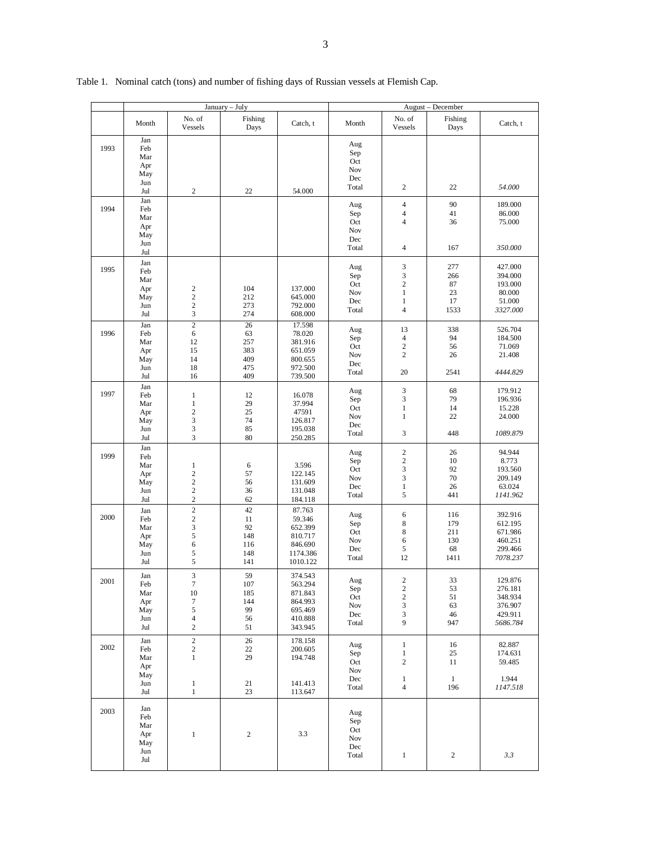|      |                                               |                                                                            | January - July                              |                                                                           |                                          | August - December                                                        |                                        |                                                                 |  |
|------|-----------------------------------------------|----------------------------------------------------------------------------|---------------------------------------------|---------------------------------------------------------------------------|------------------------------------------|--------------------------------------------------------------------------|----------------------------------------|-----------------------------------------------------------------|--|
|      | Month                                         | No. of<br>Vessels                                                          | Fishing<br>Days                             | Catch, t                                                                  | Month                                    | No. of<br>Vessels                                                        | Fishing<br>Days                        | Catch, t                                                        |  |
| 1993 | Jan<br>Feb<br>Mar<br>Apr<br>May<br>Jun<br>Jul | $\mathbf{2}$                                                               | 22                                          | 54.000                                                                    | Aug<br>Sep<br>Oct<br>Nov<br>Dec<br>Total | 2                                                                        | 22                                     | 54.000                                                          |  |
| 1994 | Jan<br>Feb<br>Mar<br>Apr<br>May<br>Jun<br>Jul |                                                                            |                                             |                                                                           | Aug<br>Sep<br>Oct<br>Nov<br>Dec<br>Total | $\overline{4}$<br>4<br>$\overline{4}$<br>$\overline{\mathcal{L}}$        | 90<br>41<br>36<br>167                  | 189.000<br>86.000<br>75.000<br>350.000                          |  |
| 1995 | Jan<br>Feb<br>Mar<br>Apr<br>May<br>Jun<br>Jul | $\sqrt{2}$<br>$\sqrt{2}$<br>$\sqrt{2}$<br>$\mathfrak{Z}$                   | 104<br>212<br>273<br>274                    | 137.000<br>645.000<br>792.000<br>608.000                                  | Aug<br>Sep<br>Oct<br>Nov<br>Dec<br>Total | 3<br>3<br>$\mathbf{2}$<br>$\mathbf{1}$<br>$\mathbf{1}$<br>$\overline{4}$ | 277<br>266<br>87<br>23<br>17<br>1533   | 427.000<br>394.000<br>193.000<br>80.000<br>51.000<br>3327.000   |  |
| 1996 | Jan<br>Feb<br>Mar<br>Apr<br>May<br>Jun<br>Jul | $\overline{2}$<br>6<br>12<br>15<br>14<br>18<br>16                          | 26<br>63<br>257<br>383<br>409<br>475<br>409 | 17.598<br>78.020<br>381.916<br>651.059<br>800.655<br>972.500<br>739.500   | Aug<br>Sep<br>Oct<br>Nov<br>Dec<br>Total | 13<br>$\overline{4}$<br>$\overline{c}$<br>$\overline{c}$<br>20           | 338<br>94<br>56<br>26<br>2541          | 526.704<br>184.500<br>71.069<br>21.408<br>4444.829              |  |
| 1997 | Jan<br>Feb<br>Mar<br>Apr<br>May<br>Jun<br>Jul | $\mathbf{1}$<br>$\,1$<br>$\mathbf{2}$<br>$\mathfrak{Z}$<br>3<br>3          | 12<br>29<br>25<br>74<br>85<br>80            | 16.078<br>37.994<br>47591<br>126.817<br>195.038<br>250.285                | Aug<br>Sep<br>Oct<br>Nov<br>Dec<br>Total | 3<br>3<br>$\mathbf{1}$<br>$\mathbf{1}$<br>3                              | 68<br>79<br>14<br>22<br>448            | 179.912<br>196.936<br>15.228<br>24.000<br>1089.879              |  |
| 1999 | Jan<br>Feb<br>Mar<br>Apr<br>May<br>Jun<br>Jul | $\mathbf{1}$<br>$\sqrt{2}$<br>$\mathbf{2}$<br>$\sqrt{2}$<br>$\mathbf{2}$   | 6<br>57<br>56<br>36<br>62                   | 3.596<br>122.145<br>131.609<br>131.048<br>184.118                         | Aug<br>Sep<br>Oct<br>Nov<br>Dec<br>Total | $\sqrt{2}$<br>$\mathbf{2}$<br>3<br>3<br>$\mathbf{1}$<br>5                | 26<br>10<br>92<br>70<br>26<br>441      | 94.944<br>8.773<br>193.560<br>209.149<br>63.024<br>1141.962     |  |
| 2000 | Jan<br>Feb<br>Mar<br>Apr<br>May<br>Jun<br>Jul | $\sqrt{2}$<br>$\sqrt{2}$<br>$\mathfrak{Z}$<br>5<br>6<br>5<br>5             | 42<br>11<br>92<br>148<br>116<br>148<br>141  | 87.763<br>59.346<br>652.399<br>810.717<br>846.690<br>1174.386<br>1010.122 | Aug<br>Sep<br>Oct<br>Nov<br>Dec<br>Total | 6<br>8<br>8<br>6<br>5<br>12                                              | 116<br>179<br>211<br>130<br>68<br>1411 | 392.916<br>612.195<br>671.986<br>460.251<br>299.466<br>7078.237 |  |
| 2001 | Jan<br>Feb<br>Mar<br>Apr<br>May<br>Jun<br>Jul | 3<br>7<br>10<br>$\tau$<br>$\sqrt{5}$<br>$\overline{4}$<br>$\boldsymbol{2}$ | 59<br>107<br>185<br>144<br>99<br>56<br>51   | 374.543<br>563.294<br>871.843<br>864.993<br>695.469<br>410.888<br>343.945 | Aug<br>Sep<br>Oct<br>Nov<br>Dec<br>Total | $\sqrt{2}$<br>$\mathbf{2}$<br>$\overline{\mathbf{c}}$<br>3<br>3<br>9     | 33<br>53<br>51<br>63<br>46<br>947      | 129.876<br>276.181<br>348.934<br>376.907<br>429.911<br>5686.784 |  |
| 2002 | Jan<br>Feb<br>Mar<br>Apr<br>May<br>Jun<br>Jul | $\sqrt{2}$<br>$\sqrt{2}$<br>$\mathbf{1}$<br>$\mathbf{1}$<br>$\,1$          | 26<br>22<br>29<br>$21\,$<br>23              | 178.158<br>200.605<br>194.748<br>141.413<br>113.647                       | Aug<br>Sep<br>Oct<br>Nov<br>Dec<br>Total | $\mathbf{1}$<br>$\mathbf{1}$<br>2<br>$\mathbf{1}$<br>$\overline{4}$      | 16<br>25<br>11<br>$\mathbf{1}$<br>196  | 82.887<br>174.631<br>59.485<br>1.944<br>1147.518                |  |
| 2003 | Jan<br>Feb<br>Mar<br>Apr<br>May<br>Jun<br>Jul | $\,1\,$                                                                    | $\sqrt{2}$                                  | 3.3                                                                       | Aug<br>Sep<br>Oct<br>Nov<br>Dec<br>Total | $\mathbf{1}$                                                             | $\boldsymbol{2}$                       | 3.3                                                             |  |

# Table 1. Nominal catch (tons) and number of fishing days of Russian vessels at Flemish Cap.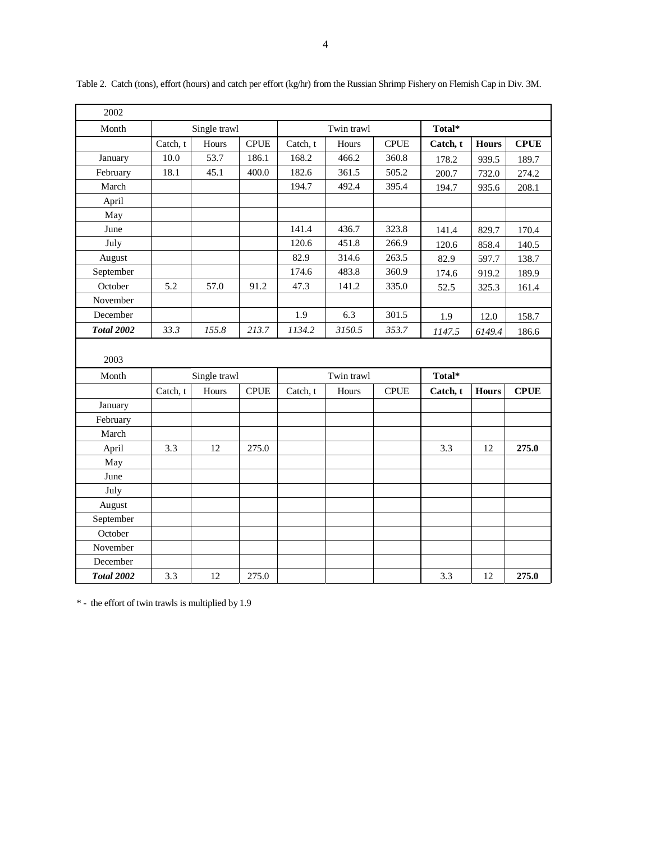| 2002              |          |              |             |          |            |             |          |              |             |
|-------------------|----------|--------------|-------------|----------|------------|-------------|----------|--------------|-------------|
| Month             |          | Single trawl |             |          | Twin trawl |             | Total*   |              |             |
|                   | Catch, t | Hours        | <b>CPUE</b> | Catch, t | Hours      | <b>CPUE</b> | Catch, t | <b>Hours</b> | <b>CPUE</b> |
| January           | 10.0     | 53.7         | 186.1       | 168.2    | 466.2      | 360.8       | 178.2    | 939.5        | 189.7       |
| February          | 18.1     | 45.1         | 400.0       | 182.6    | 361.5      | 505.2       | 200.7    | 732.0        | 274.2       |
| March             |          |              |             | 194.7    | 492.4      | 395.4       | 194.7    | 935.6        | 208.1       |
| April             |          |              |             |          |            |             |          |              |             |
| May               |          |              |             |          |            |             |          |              |             |
| June              |          |              |             | 141.4    | 436.7      | 323.8       | 141.4    | 829.7        | 170.4       |
| July              |          |              |             | 120.6    | 451.8      | 266.9       | 120.6    | 858.4        | 140.5       |
| August            |          |              |             | 82.9     | 314.6      | 263.5       | 82.9     | 597.7        | 138.7       |
| September         |          |              |             | 174.6    | 483.8      | 360.9       | 174.6    | 919.2        | 189.9       |
| October           | 5.2      | 57.0         | 91.2        | 47.3     | 141.2      | 335.0       | 52.5     | 325.3        | 161.4       |
| November          |          |              |             |          |            |             |          |              |             |
| December          |          |              |             | 1.9      | 6.3        | 301.5       | 1.9      | 12.0         | 158.7       |
| <b>Total 2002</b> | 33.3     | 155.8        | 213.7       | 1134.2   | 3150.5     | 353.7       | 1147.5   | 6149.4       | 186.6       |
|                   |          |              |             |          |            |             |          |              |             |
| 2003              |          |              |             |          |            |             |          |              |             |
| Month             |          | Single trawl |             |          | Twin trawl |             | Total*   |              |             |
|                   | Catch, t | Hours        | <b>CPUE</b> | Catch, t | Hours      | <b>CPUE</b> | Catch, t | <b>Hours</b> | <b>CPUE</b> |
| January           |          |              |             |          |            |             |          |              |             |
| February          |          |              |             |          |            |             |          |              |             |
| March             |          |              |             |          |            |             |          |              |             |
| April             | 3.3      | 12           | 275.0       |          |            |             | 3.3      | 12           | 275.0       |
| May               |          |              |             |          |            |             |          |              |             |
| June              |          |              |             |          |            |             |          |              |             |
| July              |          |              |             |          |            |             |          |              |             |
| August            |          |              |             |          |            |             |          |              |             |
| September         |          |              |             |          |            |             |          |              |             |
| October           |          |              |             |          |            |             |          |              |             |
|                   |          |              |             |          |            |             |          |              |             |
| November          |          |              |             |          |            |             |          |              |             |
| December          |          |              |             |          |            |             |          |              |             |

Table 2. Catch (tons), effort (hours) and catch per effort (kg/hr) from the Russian Shrimp Fishery on Flemish Cap in Div. 3M.

\* - the effort of twin trawls is multiplied by 1.9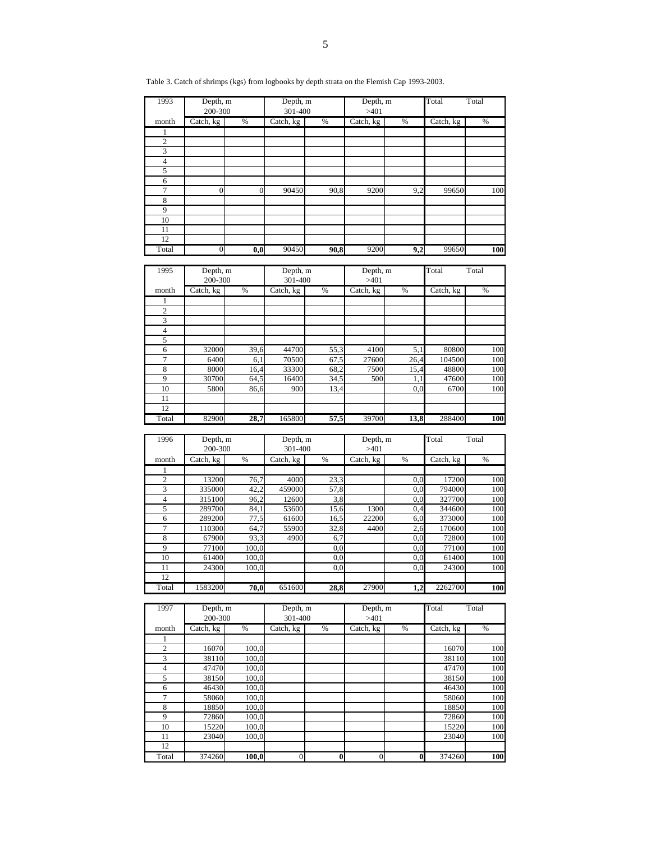| 1993<br>Depth, m<br>Depth, m<br>Depth, m<br>Total<br>Total<br>200-300<br>301-400<br>>401<br>Catch, kg<br>%<br>$\overline{\text{C}}$ atch, kg<br>$\%$<br>Catch, kg<br>$\%$<br>Catch, kg<br>%<br>month<br>1<br>2<br>3<br>$\overline{4}$<br>5<br>6<br>7<br>$\boldsymbol{0}$<br>$\overline{0}$<br>90450<br>9,2<br>90,8<br>9200<br>99650<br>100<br>$\,$ 8 $\,$<br>9<br>10<br>11<br>12<br>90450<br>Total<br>90,8<br>9200<br>9,2<br>99650<br>$\overline{0}$<br>$_{\mathbf{0,0}}$<br>100<br>Total<br>1995<br>Depth, m<br>Depth, m<br>Total<br>Depth, m<br>200-300<br>301-400<br>>401<br>Catch, kg<br>$\%$<br>Catch, kg<br>$\%$<br>Catch, kg<br>$\%$<br>Catch, kg<br>%<br>month<br>1<br>$\overline{c}$<br>3<br>$\sqrt{4}$<br>5<br>6<br>32000<br>39,6<br>44700<br>55,3<br>4100<br>5,1<br>80800<br>$\tau$<br>6400<br>70500<br>27600<br>104500<br>6,1<br>67,5<br>26,4<br>$\overline{8}$<br>33300<br>8000<br>68,2<br>7500<br>15,4<br>48800<br>16,4<br>9<br>30700<br>64,5<br>16400<br>47600<br>34,5<br>500<br>1,1<br>10<br>5800<br>86,6<br>900<br>13,4<br>0,0<br>6700<br>11<br>12<br>39700<br>Total<br>82900<br>28,7<br>165800<br>57,5<br>288400<br>13,8<br>1996<br>Depth, m<br>Depth, m<br>Depth, m<br>Total<br>Total<br>200-300<br>301-400<br>>401<br>%<br>%<br>Catch, kg<br>$\%$<br>Catch, kg<br>Catch, kg<br>%<br>Catch, kg<br>month<br>1<br>$\overline{c}$<br>13200<br>4000<br>17200<br>76,7<br>23,3<br>$_{0,0}$<br>100<br>459000<br>3<br>335000<br>42,2<br>794000<br>57,8<br>$_{0,0}$<br>100<br>$\overline{4}$<br>315100<br>96,2<br>12600<br>327700<br>3,8<br>$_{0,0}$<br>100<br>$\sqrt{5}$<br>289700<br>53600<br>344600<br>84,1<br>15,6<br>1300<br>0,4<br>100<br>289200<br>373000<br>77,5<br>61600<br>22200<br>100<br>6<br>16,5<br>6,0<br>$\tau$<br>110300<br>64,7<br>55900<br>32,8<br>2,6<br>170600<br>4400<br>100<br>$\,$ 8 $\,$<br>67900<br>4900<br>72800<br>93,3<br>6,7<br>100<br>$_{0,0}$<br>9<br>0,0<br>77100<br>100<br>77100<br>100,0<br>$_{0,0}$<br>10<br>61400<br>100,0<br>0,0<br>$_{0,0}$<br>61400<br>100<br>24300<br>11<br>24300<br>100,0<br>0,0<br>$_{0,0}$<br>100<br>12<br>1583200<br>27900<br>2262700<br>Total<br>70,0<br>651600<br>$\overline{28,8}$<br>1,2<br>Total<br>Total<br>1997<br>Depth, m<br>Depth, m<br>Depth, m<br>200-300<br>301-400<br>>401<br>$\%$<br>$\%$<br>Catch, kg<br>$\%$<br>$\%$<br>Catch, kg<br>Catch, kg<br>Catch, kg<br>month<br>1<br>$\overline{c}$<br>16070<br>100,0<br>16070<br>$\mathfrak{Z}$<br>38110<br>100,0<br>38110<br>$100\,$<br>$\sqrt{4}$<br>47470<br>100,0<br>47470<br>100 |   | Table 3. Catch of shrimps (kgs) from logbooks by depth strata on the Flemish Cap 1993-2003. |       |  |  |       |     |
|------------------------------------------------------------------------------------------------------------------------------------------------------------------------------------------------------------------------------------------------------------------------------------------------------------------------------------------------------------------------------------------------------------------------------------------------------------------------------------------------------------------------------------------------------------------------------------------------------------------------------------------------------------------------------------------------------------------------------------------------------------------------------------------------------------------------------------------------------------------------------------------------------------------------------------------------------------------------------------------------------------------------------------------------------------------------------------------------------------------------------------------------------------------------------------------------------------------------------------------------------------------------------------------------------------------------------------------------------------------------------------------------------------------------------------------------------------------------------------------------------------------------------------------------------------------------------------------------------------------------------------------------------------------------------------------------------------------------------------------------------------------------------------------------------------------------------------------------------------------------------------------------------------------------------------------------------------------------------------------------------------------------------------------------------------------------------------------------------------------------------------------------------------------------------------------------------------------------------------------------------------------------------------------------------------------------------------------------------------------------------------------------------------------------------------------------------------------------------------------------------------------------|---|---------------------------------------------------------------------------------------------|-------|--|--|-------|-----|
|                                                                                                                                                                                                                                                                                                                                                                                                                                                                                                                                                                                                                                                                                                                                                                                                                                                                                                                                                                                                                                                                                                                                                                                                                                                                                                                                                                                                                                                                                                                                                                                                                                                                                                                                                                                                                                                                                                                                                                                                                                                                                                                                                                                                                                                                                                                                                                                                                                                                                                                        |   |                                                                                             |       |  |  |       |     |
|                                                                                                                                                                                                                                                                                                                                                                                                                                                                                                                                                                                                                                                                                                                                                                                                                                                                                                                                                                                                                                                                                                                                                                                                                                                                                                                                                                                                                                                                                                                                                                                                                                                                                                                                                                                                                                                                                                                                                                                                                                                                                                                                                                                                                                                                                                                                                                                                                                                                                                                        |   |                                                                                             |       |  |  |       |     |
|                                                                                                                                                                                                                                                                                                                                                                                                                                                                                                                                                                                                                                                                                                                                                                                                                                                                                                                                                                                                                                                                                                                                                                                                                                                                                                                                                                                                                                                                                                                                                                                                                                                                                                                                                                                                                                                                                                                                                                                                                                                                                                                                                                                                                                                                                                                                                                                                                                                                                                                        |   |                                                                                             |       |  |  |       |     |
|                                                                                                                                                                                                                                                                                                                                                                                                                                                                                                                                                                                                                                                                                                                                                                                                                                                                                                                                                                                                                                                                                                                                                                                                                                                                                                                                                                                                                                                                                                                                                                                                                                                                                                                                                                                                                                                                                                                                                                                                                                                                                                                                                                                                                                                                                                                                                                                                                                                                                                                        |   |                                                                                             |       |  |  |       |     |
|                                                                                                                                                                                                                                                                                                                                                                                                                                                                                                                                                                                                                                                                                                                                                                                                                                                                                                                                                                                                                                                                                                                                                                                                                                                                                                                                                                                                                                                                                                                                                                                                                                                                                                                                                                                                                                                                                                                                                                                                                                                                                                                                                                                                                                                                                                                                                                                                                                                                                                                        |   |                                                                                             |       |  |  |       |     |
|                                                                                                                                                                                                                                                                                                                                                                                                                                                                                                                                                                                                                                                                                                                                                                                                                                                                                                                                                                                                                                                                                                                                                                                                                                                                                                                                                                                                                                                                                                                                                                                                                                                                                                                                                                                                                                                                                                                                                                                                                                                                                                                                                                                                                                                                                                                                                                                                                                                                                                                        |   |                                                                                             |       |  |  |       |     |
|                                                                                                                                                                                                                                                                                                                                                                                                                                                                                                                                                                                                                                                                                                                                                                                                                                                                                                                                                                                                                                                                                                                                                                                                                                                                                                                                                                                                                                                                                                                                                                                                                                                                                                                                                                                                                                                                                                                                                                                                                                                                                                                                                                                                                                                                                                                                                                                                                                                                                                                        |   |                                                                                             |       |  |  |       |     |
|                                                                                                                                                                                                                                                                                                                                                                                                                                                                                                                                                                                                                                                                                                                                                                                                                                                                                                                                                                                                                                                                                                                                                                                                                                                                                                                                                                                                                                                                                                                                                                                                                                                                                                                                                                                                                                                                                                                                                                                                                                                                                                                                                                                                                                                                                                                                                                                                                                                                                                                        |   |                                                                                             |       |  |  |       |     |
|                                                                                                                                                                                                                                                                                                                                                                                                                                                                                                                                                                                                                                                                                                                                                                                                                                                                                                                                                                                                                                                                                                                                                                                                                                                                                                                                                                                                                                                                                                                                                                                                                                                                                                                                                                                                                                                                                                                                                                                                                                                                                                                                                                                                                                                                                                                                                                                                                                                                                                                        |   |                                                                                             |       |  |  |       |     |
|                                                                                                                                                                                                                                                                                                                                                                                                                                                                                                                                                                                                                                                                                                                                                                                                                                                                                                                                                                                                                                                                                                                                                                                                                                                                                                                                                                                                                                                                                                                                                                                                                                                                                                                                                                                                                                                                                                                                                                                                                                                                                                                                                                                                                                                                                                                                                                                                                                                                                                                        |   |                                                                                             |       |  |  |       |     |
|                                                                                                                                                                                                                                                                                                                                                                                                                                                                                                                                                                                                                                                                                                                                                                                                                                                                                                                                                                                                                                                                                                                                                                                                                                                                                                                                                                                                                                                                                                                                                                                                                                                                                                                                                                                                                                                                                                                                                                                                                                                                                                                                                                                                                                                                                                                                                                                                                                                                                                                        |   |                                                                                             |       |  |  |       |     |
|                                                                                                                                                                                                                                                                                                                                                                                                                                                                                                                                                                                                                                                                                                                                                                                                                                                                                                                                                                                                                                                                                                                                                                                                                                                                                                                                                                                                                                                                                                                                                                                                                                                                                                                                                                                                                                                                                                                                                                                                                                                                                                                                                                                                                                                                                                                                                                                                                                                                                                                        |   |                                                                                             |       |  |  |       |     |
|                                                                                                                                                                                                                                                                                                                                                                                                                                                                                                                                                                                                                                                                                                                                                                                                                                                                                                                                                                                                                                                                                                                                                                                                                                                                                                                                                                                                                                                                                                                                                                                                                                                                                                                                                                                                                                                                                                                                                                                                                                                                                                                                                                                                                                                                                                                                                                                                                                                                                                                        |   |                                                                                             |       |  |  |       |     |
|                                                                                                                                                                                                                                                                                                                                                                                                                                                                                                                                                                                                                                                                                                                                                                                                                                                                                                                                                                                                                                                                                                                                                                                                                                                                                                                                                                                                                                                                                                                                                                                                                                                                                                                                                                                                                                                                                                                                                                                                                                                                                                                                                                                                                                                                                                                                                                                                                                                                                                                        |   |                                                                                             |       |  |  |       |     |
|                                                                                                                                                                                                                                                                                                                                                                                                                                                                                                                                                                                                                                                                                                                                                                                                                                                                                                                                                                                                                                                                                                                                                                                                                                                                                                                                                                                                                                                                                                                                                                                                                                                                                                                                                                                                                                                                                                                                                                                                                                                                                                                                                                                                                                                                                                                                                                                                                                                                                                                        |   |                                                                                             |       |  |  |       |     |
|                                                                                                                                                                                                                                                                                                                                                                                                                                                                                                                                                                                                                                                                                                                                                                                                                                                                                                                                                                                                                                                                                                                                                                                                                                                                                                                                                                                                                                                                                                                                                                                                                                                                                                                                                                                                                                                                                                                                                                                                                                                                                                                                                                                                                                                                                                                                                                                                                                                                                                                        |   |                                                                                             |       |  |  |       |     |
|                                                                                                                                                                                                                                                                                                                                                                                                                                                                                                                                                                                                                                                                                                                                                                                                                                                                                                                                                                                                                                                                                                                                                                                                                                                                                                                                                                                                                                                                                                                                                                                                                                                                                                                                                                                                                                                                                                                                                                                                                                                                                                                                                                                                                                                                                                                                                                                                                                                                                                                        |   |                                                                                             |       |  |  |       |     |
|                                                                                                                                                                                                                                                                                                                                                                                                                                                                                                                                                                                                                                                                                                                                                                                                                                                                                                                                                                                                                                                                                                                                                                                                                                                                                                                                                                                                                                                                                                                                                                                                                                                                                                                                                                                                                                                                                                                                                                                                                                                                                                                                                                                                                                                                                                                                                                                                                                                                                                                        |   |                                                                                             |       |  |  |       |     |
|                                                                                                                                                                                                                                                                                                                                                                                                                                                                                                                                                                                                                                                                                                                                                                                                                                                                                                                                                                                                                                                                                                                                                                                                                                                                                                                                                                                                                                                                                                                                                                                                                                                                                                                                                                                                                                                                                                                                                                                                                                                                                                                                                                                                                                                                                                                                                                                                                                                                                                                        |   |                                                                                             |       |  |  |       |     |
|                                                                                                                                                                                                                                                                                                                                                                                                                                                                                                                                                                                                                                                                                                                                                                                                                                                                                                                                                                                                                                                                                                                                                                                                                                                                                                                                                                                                                                                                                                                                                                                                                                                                                                                                                                                                                                                                                                                                                                                                                                                                                                                                                                                                                                                                                                                                                                                                                                                                                                                        |   |                                                                                             |       |  |  |       |     |
|                                                                                                                                                                                                                                                                                                                                                                                                                                                                                                                                                                                                                                                                                                                                                                                                                                                                                                                                                                                                                                                                                                                                                                                                                                                                                                                                                                                                                                                                                                                                                                                                                                                                                                                                                                                                                                                                                                                                                                                                                                                                                                                                                                                                                                                                                                                                                                                                                                                                                                                        |   |                                                                                             |       |  |  |       |     |
|                                                                                                                                                                                                                                                                                                                                                                                                                                                                                                                                                                                                                                                                                                                                                                                                                                                                                                                                                                                                                                                                                                                                                                                                                                                                                                                                                                                                                                                                                                                                                                                                                                                                                                                                                                                                                                                                                                                                                                                                                                                                                                                                                                                                                                                                                                                                                                                                                                                                                                                        |   |                                                                                             |       |  |  |       |     |
|                                                                                                                                                                                                                                                                                                                                                                                                                                                                                                                                                                                                                                                                                                                                                                                                                                                                                                                                                                                                                                                                                                                                                                                                                                                                                                                                                                                                                                                                                                                                                                                                                                                                                                                                                                                                                                                                                                                                                                                                                                                                                                                                                                                                                                                                                                                                                                                                                                                                                                                        |   |                                                                                             |       |  |  |       |     |
|                                                                                                                                                                                                                                                                                                                                                                                                                                                                                                                                                                                                                                                                                                                                                                                                                                                                                                                                                                                                                                                                                                                                                                                                                                                                                                                                                                                                                                                                                                                                                                                                                                                                                                                                                                                                                                                                                                                                                                                                                                                                                                                                                                                                                                                                                                                                                                                                                                                                                                                        |   |                                                                                             |       |  |  |       |     |
|                                                                                                                                                                                                                                                                                                                                                                                                                                                                                                                                                                                                                                                                                                                                                                                                                                                                                                                                                                                                                                                                                                                                                                                                                                                                                                                                                                                                                                                                                                                                                                                                                                                                                                                                                                                                                                                                                                                                                                                                                                                                                                                                                                                                                                                                                                                                                                                                                                                                                                                        |   |                                                                                             |       |  |  |       |     |
|                                                                                                                                                                                                                                                                                                                                                                                                                                                                                                                                                                                                                                                                                                                                                                                                                                                                                                                                                                                                                                                                                                                                                                                                                                                                                                                                                                                                                                                                                                                                                                                                                                                                                                                                                                                                                                                                                                                                                                                                                                                                                                                                                                                                                                                                                                                                                                                                                                                                                                                        |   |                                                                                             |       |  |  |       |     |
|                                                                                                                                                                                                                                                                                                                                                                                                                                                                                                                                                                                                                                                                                                                                                                                                                                                                                                                                                                                                                                                                                                                                                                                                                                                                                                                                                                                                                                                                                                                                                                                                                                                                                                                                                                                                                                                                                                                                                                                                                                                                                                                                                                                                                                                                                                                                                                                                                                                                                                                        |   |                                                                                             |       |  |  |       | 100 |
|                                                                                                                                                                                                                                                                                                                                                                                                                                                                                                                                                                                                                                                                                                                                                                                                                                                                                                                                                                                                                                                                                                                                                                                                                                                                                                                                                                                                                                                                                                                                                                                                                                                                                                                                                                                                                                                                                                                                                                                                                                                                                                                                                                                                                                                                                                                                                                                                                                                                                                                        |   |                                                                                             |       |  |  |       | 100 |
|                                                                                                                                                                                                                                                                                                                                                                                                                                                                                                                                                                                                                                                                                                                                                                                                                                                                                                                                                                                                                                                                                                                                                                                                                                                                                                                                                                                                                                                                                                                                                                                                                                                                                                                                                                                                                                                                                                                                                                                                                                                                                                                                                                                                                                                                                                                                                                                                                                                                                                                        |   |                                                                                             |       |  |  |       | 100 |
|                                                                                                                                                                                                                                                                                                                                                                                                                                                                                                                                                                                                                                                                                                                                                                                                                                                                                                                                                                                                                                                                                                                                                                                                                                                                                                                                                                                                                                                                                                                                                                                                                                                                                                                                                                                                                                                                                                                                                                                                                                                                                                                                                                                                                                                                                                                                                                                                                                                                                                                        |   |                                                                                             |       |  |  |       | 100 |
|                                                                                                                                                                                                                                                                                                                                                                                                                                                                                                                                                                                                                                                                                                                                                                                                                                                                                                                                                                                                                                                                                                                                                                                                                                                                                                                                                                                                                                                                                                                                                                                                                                                                                                                                                                                                                                                                                                                                                                                                                                                                                                                                                                                                                                                                                                                                                                                                                                                                                                                        |   |                                                                                             |       |  |  |       | 100 |
|                                                                                                                                                                                                                                                                                                                                                                                                                                                                                                                                                                                                                                                                                                                                                                                                                                                                                                                                                                                                                                                                                                                                                                                                                                                                                                                                                                                                                                                                                                                                                                                                                                                                                                                                                                                                                                                                                                                                                                                                                                                                                                                                                                                                                                                                                                                                                                                                                                                                                                                        |   |                                                                                             |       |  |  |       |     |
|                                                                                                                                                                                                                                                                                                                                                                                                                                                                                                                                                                                                                                                                                                                                                                                                                                                                                                                                                                                                                                                                                                                                                                                                                                                                                                                                                                                                                                                                                                                                                                                                                                                                                                                                                                                                                                                                                                                                                                                                                                                                                                                                                                                                                                                                                                                                                                                                                                                                                                                        |   |                                                                                             |       |  |  |       |     |
|                                                                                                                                                                                                                                                                                                                                                                                                                                                                                                                                                                                                                                                                                                                                                                                                                                                                                                                                                                                                                                                                                                                                                                                                                                                                                                                                                                                                                                                                                                                                                                                                                                                                                                                                                                                                                                                                                                                                                                                                                                                                                                                                                                                                                                                                                                                                                                                                                                                                                                                        |   |                                                                                             |       |  |  |       | 100 |
|                                                                                                                                                                                                                                                                                                                                                                                                                                                                                                                                                                                                                                                                                                                                                                                                                                                                                                                                                                                                                                                                                                                                                                                                                                                                                                                                                                                                                                                                                                                                                                                                                                                                                                                                                                                                                                                                                                                                                                                                                                                                                                                                                                                                                                                                                                                                                                                                                                                                                                                        |   |                                                                                             |       |  |  |       |     |
|                                                                                                                                                                                                                                                                                                                                                                                                                                                                                                                                                                                                                                                                                                                                                                                                                                                                                                                                                                                                                                                                                                                                                                                                                                                                                                                                                                                                                                                                                                                                                                                                                                                                                                                                                                                                                                                                                                                                                                                                                                                                                                                                                                                                                                                                                                                                                                                                                                                                                                                        |   |                                                                                             |       |  |  |       |     |
|                                                                                                                                                                                                                                                                                                                                                                                                                                                                                                                                                                                                                                                                                                                                                                                                                                                                                                                                                                                                                                                                                                                                                                                                                                                                                                                                                                                                                                                                                                                                                                                                                                                                                                                                                                                                                                                                                                                                                                                                                                                                                                                                                                                                                                                                                                                                                                                                                                                                                                                        |   |                                                                                             |       |  |  |       |     |
|                                                                                                                                                                                                                                                                                                                                                                                                                                                                                                                                                                                                                                                                                                                                                                                                                                                                                                                                                                                                                                                                                                                                                                                                                                                                                                                                                                                                                                                                                                                                                                                                                                                                                                                                                                                                                                                                                                                                                                                                                                                                                                                                                                                                                                                                                                                                                                                                                                                                                                                        |   |                                                                                             |       |  |  |       |     |
|                                                                                                                                                                                                                                                                                                                                                                                                                                                                                                                                                                                                                                                                                                                                                                                                                                                                                                                                                                                                                                                                                                                                                                                                                                                                                                                                                                                                                                                                                                                                                                                                                                                                                                                                                                                                                                                                                                                                                                                                                                                                                                                                                                                                                                                                                                                                                                                                                                                                                                                        |   |                                                                                             |       |  |  |       |     |
|                                                                                                                                                                                                                                                                                                                                                                                                                                                                                                                                                                                                                                                                                                                                                                                                                                                                                                                                                                                                                                                                                                                                                                                                                                                                                                                                                                                                                                                                                                                                                                                                                                                                                                                                                                                                                                                                                                                                                                                                                                                                                                                                                                                                                                                                                                                                                                                                                                                                                                                        |   |                                                                                             |       |  |  |       |     |
|                                                                                                                                                                                                                                                                                                                                                                                                                                                                                                                                                                                                                                                                                                                                                                                                                                                                                                                                                                                                                                                                                                                                                                                                                                                                                                                                                                                                                                                                                                                                                                                                                                                                                                                                                                                                                                                                                                                                                                                                                                                                                                                                                                                                                                                                                                                                                                                                                                                                                                                        |   |                                                                                             |       |  |  |       |     |
|                                                                                                                                                                                                                                                                                                                                                                                                                                                                                                                                                                                                                                                                                                                                                                                                                                                                                                                                                                                                                                                                                                                                                                                                                                                                                                                                                                                                                                                                                                                                                                                                                                                                                                                                                                                                                                                                                                                                                                                                                                                                                                                                                                                                                                                                                                                                                                                                                                                                                                                        |   |                                                                                             |       |  |  |       |     |
|                                                                                                                                                                                                                                                                                                                                                                                                                                                                                                                                                                                                                                                                                                                                                                                                                                                                                                                                                                                                                                                                                                                                                                                                                                                                                                                                                                                                                                                                                                                                                                                                                                                                                                                                                                                                                                                                                                                                                                                                                                                                                                                                                                                                                                                                                                                                                                                                                                                                                                                        |   |                                                                                             |       |  |  |       |     |
|                                                                                                                                                                                                                                                                                                                                                                                                                                                                                                                                                                                                                                                                                                                                                                                                                                                                                                                                                                                                                                                                                                                                                                                                                                                                                                                                                                                                                                                                                                                                                                                                                                                                                                                                                                                                                                                                                                                                                                                                                                                                                                                                                                                                                                                                                                                                                                                                                                                                                                                        |   |                                                                                             |       |  |  |       |     |
|                                                                                                                                                                                                                                                                                                                                                                                                                                                                                                                                                                                                                                                                                                                                                                                                                                                                                                                                                                                                                                                                                                                                                                                                                                                                                                                                                                                                                                                                                                                                                                                                                                                                                                                                                                                                                                                                                                                                                                                                                                                                                                                                                                                                                                                                                                                                                                                                                                                                                                                        |   |                                                                                             |       |  |  |       |     |
|                                                                                                                                                                                                                                                                                                                                                                                                                                                                                                                                                                                                                                                                                                                                                                                                                                                                                                                                                                                                                                                                                                                                                                                                                                                                                                                                                                                                                                                                                                                                                                                                                                                                                                                                                                                                                                                                                                                                                                                                                                                                                                                                                                                                                                                                                                                                                                                                                                                                                                                        |   |                                                                                             |       |  |  |       |     |
|                                                                                                                                                                                                                                                                                                                                                                                                                                                                                                                                                                                                                                                                                                                                                                                                                                                                                                                                                                                                                                                                                                                                                                                                                                                                                                                                                                                                                                                                                                                                                                                                                                                                                                                                                                                                                                                                                                                                                                                                                                                                                                                                                                                                                                                                                                                                                                                                                                                                                                                        |   |                                                                                             |       |  |  |       |     |
|                                                                                                                                                                                                                                                                                                                                                                                                                                                                                                                                                                                                                                                                                                                                                                                                                                                                                                                                                                                                                                                                                                                                                                                                                                                                                                                                                                                                                                                                                                                                                                                                                                                                                                                                                                                                                                                                                                                                                                                                                                                                                                                                                                                                                                                                                                                                                                                                                                                                                                                        |   |                                                                                             |       |  |  |       |     |
|                                                                                                                                                                                                                                                                                                                                                                                                                                                                                                                                                                                                                                                                                                                                                                                                                                                                                                                                                                                                                                                                                                                                                                                                                                                                                                                                                                                                                                                                                                                                                                                                                                                                                                                                                                                                                                                                                                                                                                                                                                                                                                                                                                                                                                                                                                                                                                                                                                                                                                                        |   |                                                                                             |       |  |  |       |     |
|                                                                                                                                                                                                                                                                                                                                                                                                                                                                                                                                                                                                                                                                                                                                                                                                                                                                                                                                                                                                                                                                                                                                                                                                                                                                                                                                                                                                                                                                                                                                                                                                                                                                                                                                                                                                                                                                                                                                                                                                                                                                                                                                                                                                                                                                                                                                                                                                                                                                                                                        |   |                                                                                             |       |  |  |       |     |
|                                                                                                                                                                                                                                                                                                                                                                                                                                                                                                                                                                                                                                                                                                                                                                                                                                                                                                                                                                                                                                                                                                                                                                                                                                                                                                                                                                                                                                                                                                                                                                                                                                                                                                                                                                                                                                                                                                                                                                                                                                                                                                                                                                                                                                                                                                                                                                                                                                                                                                                        |   |                                                                                             |       |  |  |       |     |
|                                                                                                                                                                                                                                                                                                                                                                                                                                                                                                                                                                                                                                                                                                                                                                                                                                                                                                                                                                                                                                                                                                                                                                                                                                                                                                                                                                                                                                                                                                                                                                                                                                                                                                                                                                                                                                                                                                                                                                                                                                                                                                                                                                                                                                                                                                                                                                                                                                                                                                                        |   |                                                                                             |       |  |  |       | 100 |
|                                                                                                                                                                                                                                                                                                                                                                                                                                                                                                                                                                                                                                                                                                                                                                                                                                                                                                                                                                                                                                                                                                                                                                                                                                                                                                                                                                                                                                                                                                                                                                                                                                                                                                                                                                                                                                                                                                                                                                                                                                                                                                                                                                                                                                                                                                                                                                                                                                                                                                                        |   |                                                                                             |       |  |  |       |     |
|                                                                                                                                                                                                                                                                                                                                                                                                                                                                                                                                                                                                                                                                                                                                                                                                                                                                                                                                                                                                                                                                                                                                                                                                                                                                                                                                                                                                                                                                                                                                                                                                                                                                                                                                                                                                                                                                                                                                                                                                                                                                                                                                                                                                                                                                                                                                                                                                                                                                                                                        |   |                                                                                             |       |  |  |       |     |
|                                                                                                                                                                                                                                                                                                                                                                                                                                                                                                                                                                                                                                                                                                                                                                                                                                                                                                                                                                                                                                                                                                                                                                                                                                                                                                                                                                                                                                                                                                                                                                                                                                                                                                                                                                                                                                                                                                                                                                                                                                                                                                                                                                                                                                                                                                                                                                                                                                                                                                                        |   |                                                                                             |       |  |  |       |     |
|                                                                                                                                                                                                                                                                                                                                                                                                                                                                                                                                                                                                                                                                                                                                                                                                                                                                                                                                                                                                                                                                                                                                                                                                                                                                                                                                                                                                                                                                                                                                                                                                                                                                                                                                                                                                                                                                                                                                                                                                                                                                                                                                                                                                                                                                                                                                                                                                                                                                                                                        |   |                                                                                             |       |  |  |       |     |
|                                                                                                                                                                                                                                                                                                                                                                                                                                                                                                                                                                                                                                                                                                                                                                                                                                                                                                                                                                                                                                                                                                                                                                                                                                                                                                                                                                                                                                                                                                                                                                                                                                                                                                                                                                                                                                                                                                                                                                                                                                                                                                                                                                                                                                                                                                                                                                                                                                                                                                                        |   |                                                                                             |       |  |  |       |     |
|                                                                                                                                                                                                                                                                                                                                                                                                                                                                                                                                                                                                                                                                                                                                                                                                                                                                                                                                                                                                                                                                                                                                                                                                                                                                                                                                                                                                                                                                                                                                                                                                                                                                                                                                                                                                                                                                                                                                                                                                                                                                                                                                                                                                                                                                                                                                                                                                                                                                                                                        |   |                                                                                             |       |  |  |       | 100 |
|                                                                                                                                                                                                                                                                                                                                                                                                                                                                                                                                                                                                                                                                                                                                                                                                                                                                                                                                                                                                                                                                                                                                                                                                                                                                                                                                                                                                                                                                                                                                                                                                                                                                                                                                                                                                                                                                                                                                                                                                                                                                                                                                                                                                                                                                                                                                                                                                                                                                                                                        |   |                                                                                             |       |  |  |       |     |
|                                                                                                                                                                                                                                                                                                                                                                                                                                                                                                                                                                                                                                                                                                                                                                                                                                                                                                                                                                                                                                                                                                                                                                                                                                                                                                                                                                                                                                                                                                                                                                                                                                                                                                                                                                                                                                                                                                                                                                                                                                                                                                                                                                                                                                                                                                                                                                                                                                                                                                                        |   |                                                                                             |       |  |  |       |     |
|                                                                                                                                                                                                                                                                                                                                                                                                                                                                                                                                                                                                                                                                                                                                                                                                                                                                                                                                                                                                                                                                                                                                                                                                                                                                                                                                                                                                                                                                                                                                                                                                                                                                                                                                                                                                                                                                                                                                                                                                                                                                                                                                                                                                                                                                                                                                                                                                                                                                                                                        | 5 | 38150                                                                                       | 100,0 |  |  | 38150 | 100 |

6 46430 100,0 1 46430 100 7 58060 100,0 100 58060 100 8 18850 100,0 1 1 18850 100 9 72860 100,0 1 1 72860 100 10 15220 100,0 1 15220 100 11 23040 100,0 1 23040 100

Total 374260 **100,0** 0 **0** 0 **0** 374260 **100**

 $\frac{11}{12}$ 

Table 3. Catch of shrimps (kgs) from logbooks by depth strata on the Flemish Cap 1993-2003.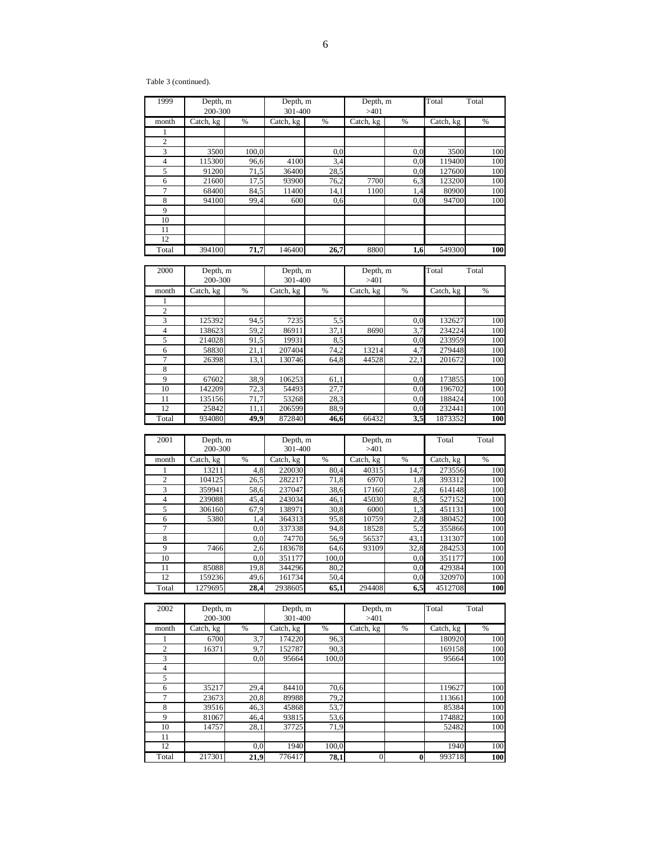Table 3 (continued).

| 1999           | Depth, m<br>200-300 |       | Depth, m<br>301-400 |      | Depth, m<br>>401 |     | Total<br>Total |     |  |
|----------------|---------------------|-------|---------------------|------|------------------|-----|----------------|-----|--|
| month          | Catch, kg           | %     | Catch, kg           | %    | Catch, kg        | %   | Catch, kg      | %   |  |
| 1              |                     |       |                     |      |                  |     |                |     |  |
| $\overline{2}$ |                     |       |                     |      |                  |     |                |     |  |
| 3              | 3500                | 100,0 |                     | 0,0  |                  | 0,0 | 3500           | 100 |  |
| 4              | 115300              | 96,6  | 4100                | 3,4  |                  | 0,0 | 119400         | 100 |  |
| 5              | 91200               | 71,5  | 36400               | 28,5 |                  | 0,0 | 127600         | 100 |  |
| 6              | 21600               | 17,5  | 93900               | 76,2 | 7700             | 6,3 | 123200         | 100 |  |
| 7              | 68400               | 84,5  | 11400               | 14,1 | 1100             | 1,4 | 80900          | 100 |  |
| 8              | 94100               | 99,4  | 600                 | 0,6  |                  | 0,0 | 94700          | 100 |  |
| 9              |                     |       |                     |      |                  |     |                |     |  |
| 10             |                     |       |                     |      |                  |     |                |     |  |
| 11             |                     |       |                     |      |                  |     |                |     |  |
| 12             |                     |       |                     |      |                  |     |                |     |  |
| Total          | 394100              | 71,7  | 146400              | 26,7 | 8800             | 1,6 | 549300         | 100 |  |

| 2000  | Depth, m<br>200-300 |      | Depth, m<br>301-400 |      | Depth, m<br>>401 |      | Total     | Total |
|-------|---------------------|------|---------------------|------|------------------|------|-----------|-------|
| month | Catch, kg           | %    | Catch, kg           | %    | Catch, kg        | %    | Catch, kg | %     |
|       |                     |      |                     |      |                  |      |           |       |
| 2     |                     |      |                     |      |                  |      |           |       |
| 3     | 125392              | 94,5 | 7235                | 5,5  |                  | 0,0  | 132627    | 100   |
| 4     | 138623              | 59,2 | 86911               | 37,1 | 8690             | 3,7  | 234224    | 100   |
| 5     | 214028              | 91,5 | 19931               | 8,5  |                  | 0,0  | 233959    | 100   |
| 6     | 58830               | 21,1 | 207404              | 74,2 | 13214            | 4,7  | 279448    | 100   |
| 7     | 26398               | 13,1 | 130746              | 64,8 | 44528            | 22,1 | 201672    | 100   |
| 8     |                     |      |                     |      |                  |      |           |       |
| 9     | 67602               | 38,9 | 106253              | 61,1 |                  | 0,0  | 173855    | 100   |
| 10    | 142209              | 72,3 | 54493               | 27,7 |                  | 0,0  | 196702    | 100   |
| 11    | 135156              | 71,7 | 53268               | 28,3 |                  | 0,0  | 188424    | 100   |
| 12    | 25842               | 11,1 | 206599              | 88,9 |                  | 0,0  | 232441    | 100   |
| Total | 934080              | 49,9 | 872840              | 46,6 | 66432            | 3,5  | 1873352   | 100   |

| 2001  | Depth, m<br>200-300 |      | Depth, m<br>301-400 |       | Depth, m<br>>401 |      | Total     | Total |
|-------|---------------------|------|---------------------|-------|------------------|------|-----------|-------|
| month | Catch, kg           | $\%$ | Catch, kg           | %     | Catch, kg        | %    | Catch, kg | %     |
|       | 13211               | 4,8  | 220030              | 80,4  | 40315            | 14,7 | 273556    | 100   |
| 2     | 104125              | 26,5 | 282217              | 71,8  | 6970             | 1,8  | 393312    | 100   |
| 3     | 359941              | 58,6 | 237047              | 38,6  | 17160            | 2,8  | 614148    | 100   |
| 4     | 239088              | 45,4 | 243034              | 46,1  | 45030            | 8,5  | 527152    | 100   |
| 5     | 306160              | 67.9 | 138971              | 30,8  | 6000             | 1,3  | 451131    | 100   |
| 6     | 5380                | 1,4  | 364313              | 95,8  | 10759            | 2,8  | 380452    | 100   |
| 7     |                     | 0.0  | 337338              | 94,8  | 18528            | 5,2  | 355866    | 100   |
| 8     |                     | 0,0  | 74770               | 56,9  | 56537            | 43,1 | 131307    | 100   |
| 9     | 7466                | 2,6  | 183678              | 64,6  | 93109            | 32,8 | 284253    | 100   |
| 10    |                     | 0.0  | 351177              | 100,0 |                  | 0,0  | 351177    | 100   |
| 11    | 85088               | 19,8 | 344296              | 80,2  |                  | 0,0  | 429384    | 100   |
| 12    | 159236              | 49,6 | 161734              | 50,4  |                  | 0,0  | 320970    | 100   |
| Total | 1279695             | 28,4 | 2938605             | 65,1  | 294408           | 6,5  | 4512708   | 100   |

| 2002           | Depth, m  |               | Depth, m  |               | Depth, m  |               | Total     | Total |
|----------------|-----------|---------------|-----------|---------------|-----------|---------------|-----------|-------|
|                | 200-300   |               | 301-400   |               | >401      |               |           |       |
| month          | Catch, kg | $\frac{0}{6}$ | Catch, kg | $\frac{0}{6}$ | Catch, kg | $\frac{0}{6}$ | Catch, kg | $\%$  |
|                | 6700      | 3,7           | 174220    | 96.3          |           |               | 180920    | 100   |
| $\overline{2}$ | 16371     | 9,7           | 152787    | 90,3          |           |               | 169158    | 100   |
| 3              |           | 0.0           | 95664     | 100,0         |           |               | 95664     | 100   |
| $\overline{4}$ |           |               |           |               |           |               |           |       |
| 5              |           |               |           |               |           |               |           |       |
| 6              | 35217     | 29,4          | 84410     | 70,6          |           |               | 119627    | 100   |
| 7              | 23673     | 20,8          | 89988     | 79,2          |           |               | 113661    | 100   |
| 8              | 39516     | 46,3          | 45868     | 53,7          |           |               | 85384     | 100   |
| 9              | 81067     | 46,4          | 93815     | 53,6          |           |               | 174882    | 100   |
| 10             | 14757     | 28,1          | 37725     | 71,9          |           |               | 52482     | 100   |
| 11             |           |               |           |               |           |               |           |       |
| 12             |           | 0,0           | 1940      | 100,0         |           |               | 1940      | 100   |
| Total          | 217301    | 21,9          | 776417    | 78,1          | $\Omega$  | $\mathbf{0}$  | 993718    | 100   |

 $\sim$  6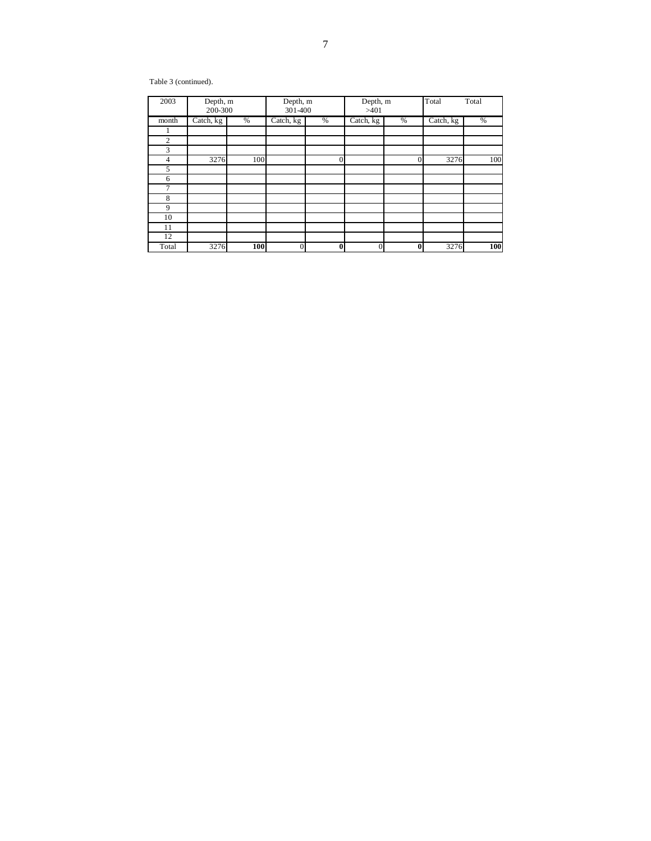Table 3 (continued).

| 2003           | Depth, m<br>200-300 |     | Depth, m<br>301-400 |                | Depth, m<br>>401 |          | Total     | Total |
|----------------|---------------------|-----|---------------------|----------------|------------------|----------|-----------|-------|
| month          | Catch, kg           | %   | Catch, kg           | %              | Catch, kg        | %        | Catch, kg | %     |
|                |                     |     |                     |                |                  |          |           |       |
| $\overline{2}$ |                     |     |                     |                |                  |          |           |       |
| 3              |                     |     |                     |                |                  |          |           |       |
| 4              | 3276                | 100 |                     | $\overline{0}$ |                  | 0        | 3276      | 100   |
| 5              |                     |     |                     |                |                  |          |           |       |
| 6              |                     |     |                     |                |                  |          |           |       |
| 7              |                     |     |                     |                |                  |          |           |       |
| 8              |                     |     |                     |                |                  |          |           |       |
| 9              |                     |     |                     |                |                  |          |           |       |
| 10             |                     |     |                     |                |                  |          |           |       |
| 11             |                     |     |                     |                |                  |          |           |       |
| 12             |                     |     |                     |                |                  |          |           |       |
| Total          | 3276                | 100 | $\overline{0}$      | $\bf{0}$       | $\mathbf{0}$     | $\bf{0}$ | 3276      | 100   |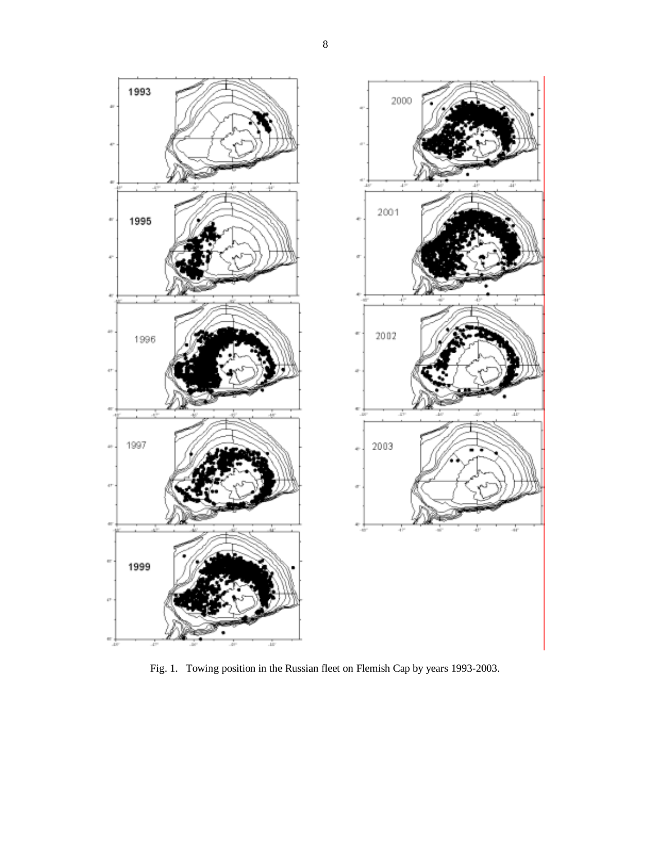

Fig. 1. Towing position in the Russian fleet on Flemish Cap by years 1993-2003.